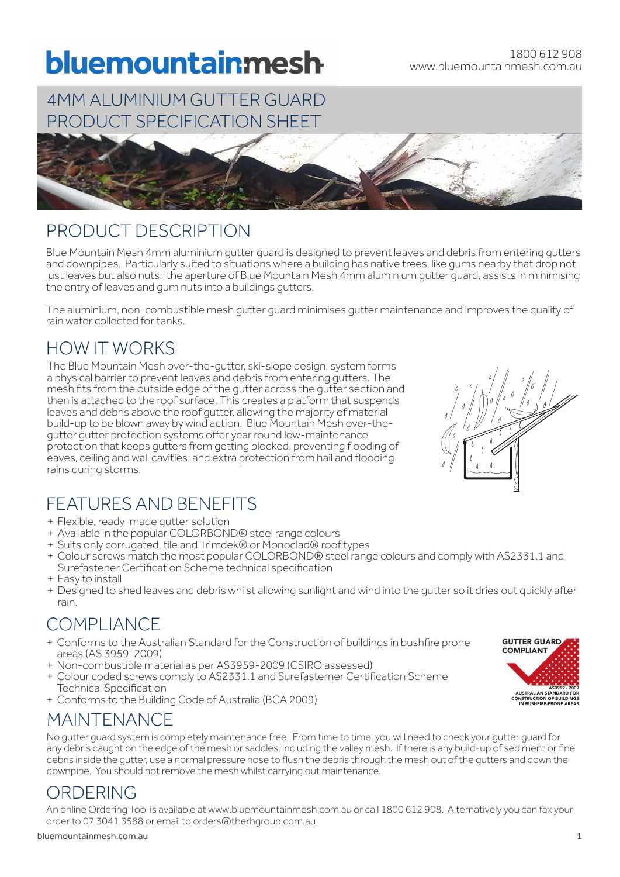# bluemountainmesh

## 4MM ALUMINIUM GUTTER GUARD PRODUCT SPECIFICATION SHEET



#### PRODUCT DESCRIPTION

Blue Mountain Mesh 4mm aluminium gutter guard is designed to prevent leaves and debris from entering gutters and downpipes. Particularly suited to situations where a building has native trees, like gums nearby that drop not just leaves but also nuts; the aperture of Blue Mountain Mesh 4mm aluminium gutter guard, assists in minimising the entry of leaves and gum nuts into a buildings gutters.

The aluminium, non-combustible mesh gutter guard minimises gutter maintenance and improves the quality of rain water collected for tanks.

## HOW IT WORKS

The Blue Mountain Mesh over-the-gutter, ski-slope design, system forms a physical barrier to prevent leaves and debris from entering gutters. The mesh fits from the outside edge of the gutter across the gutter section and then is attached to the roof surface. This creates a platform that suspends leaves and debris above the roof gutter, allowing the majority of material build-up to be blown away by wind action. Blue Mountain Mesh over-thegutter gutter protection systems offer year round low-maintenance protection that keeps gutters from getting blocked, preventing flooding of eaves, ceiling and wall cavities; and extra protection from hail and flooding rains during storms.

# FEATURES AND BENEFITS

- + Flexible, ready-made gutter solution
- + Available in the popular COLORBOND® steel range colours
- + Suits only corrugated, tile and Trimdek® or Monoclad® roof types
- + Colour screws match the most popular COLORBOND® steel range colours and comply with AS2331.1 and Surefastener Certification Scheme technical specification
- + Easy to install
- + Designed to shed leaves and debris whilst allowing sunlight and wind into the gutter so it dries out quickly after rain.

## COMPLIANCE

- + Conforms to the Australian Standard for the Construction of buildings in bushfire prone areas (AS 3959-2009)
- + Non-combustible material as per AS3959-2009 (CSIRO assessed)
- + Colour coded screws comply to AS2331.1 and Surefasterner Certification Scheme Technical Specification
- + Conforms to the Building Code of Australia (BCA 2009)

#### MAINTENANCE

No gutter guard system is completely maintenance free. From time to time, you will need to check your gutter guard for any debris caught on the edge of the mesh or saddles, including the valley mesh. If there is any build-up of sediment or fine debris inside the gutter, use a normal pressure hose to flush the debris through the mesh out of the gutters and down the downpipe. You should not remove the mesh whilst carrying out maintenance.

#### ORDERING

An online Ordering Tool is available at www.bluemountainmesh.com.au or call 1800 612 908. Alternatively you can fax your order to 07 3041 3588 or email to orders@therhgroup.com.au.